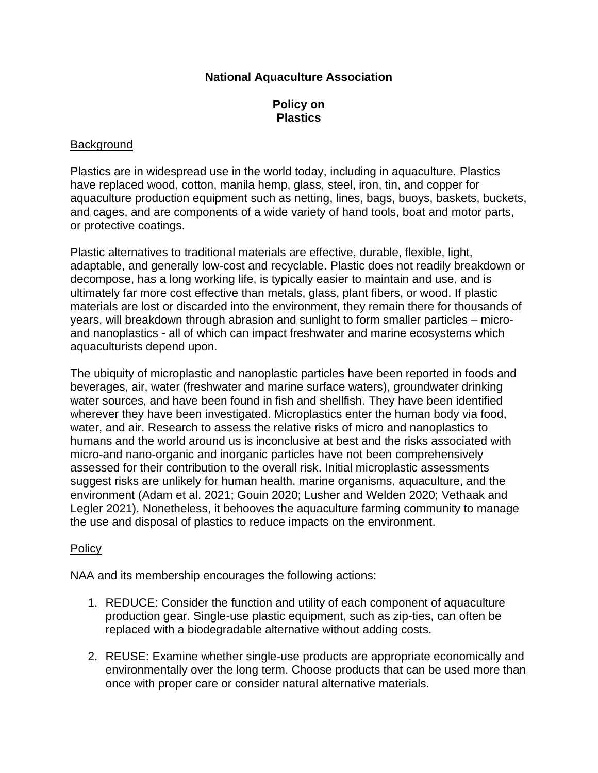# **National Aquaculture Association**

# **Policy on Plastics**

### **Background**

Plastics are in widespread use in the world today, including in aquaculture. Plastics have replaced wood, cotton, manila hemp, glass, steel, iron, tin, and copper for aquaculture production equipment such as netting, lines, bags, buoys, baskets, buckets, and cages, and are components of a wide variety of hand tools, boat and motor parts, or protective coatings.

Plastic alternatives to traditional materials are effective, durable, flexible, light, adaptable, and generally low-cost and recyclable. Plastic does not readily breakdown or decompose, has a long working life, is typically easier to maintain and use, and is ultimately far more cost effective than metals, glass, plant fibers, or wood. If plastic materials are lost or discarded into the environment, they remain there for thousands of years, will breakdown through abrasion and sunlight to form smaller particles – microand nanoplastics - all of which can impact freshwater and marine ecosystems which aquaculturists depend upon.

The ubiquity of microplastic and nanoplastic particles have been reported in foods and beverages, air, water (freshwater and marine surface waters), groundwater drinking water sources, and have been found in fish and shellfish. They have been identified wherever they have been investigated. Microplastics enter the human body via food, water, and air. Research to assess the relative risks of micro and nanoplastics to humans and the world around us is inconclusive at best and the risks associated with micro-and nano-organic and inorganic particles have not been comprehensively assessed for their contribution to the overall risk. Initial microplastic assessments suggest risks are unlikely for human health, marine organisms, aquaculture, and the environment (Adam et al. 2021; Gouin 2020; Lusher and Welden 2020; Vethaak and Legler 2021). Nonetheless, it behooves the aquaculture farming community to manage the use and disposal of plastics to reduce impacts on the environment.

# **Policy**

NAA and its membership encourages the following actions:

- 1. REDUCE: Consider the function and utility of each component of aquaculture production gear. Single-use plastic equipment, such as zip-ties, can often be replaced with a biodegradable alternative without adding costs.
- 2. REUSE: Examine whether single-use products are appropriate economically and environmentally over the long term. Choose products that can be used more than once with proper care or consider natural alternative materials.